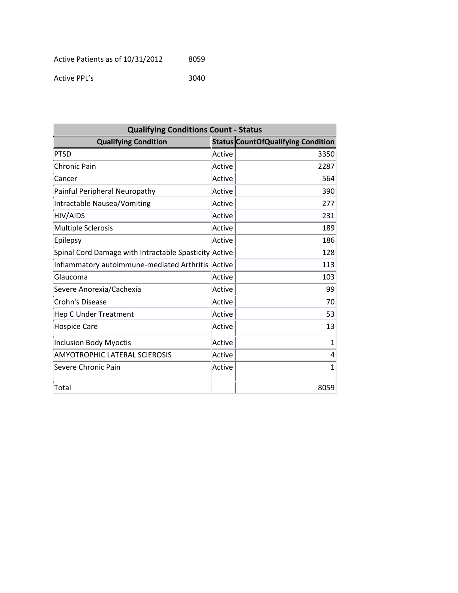Active PPL's 3040

| <b>Qualifying Conditions Count - Status</b>           |        |                                           |  |
|-------------------------------------------------------|--------|-------------------------------------------|--|
| <b>Qualifying Condition</b>                           |        | <b>Status CountOfQualifying Condition</b> |  |
| PTSD                                                  | Active | 3350                                      |  |
| Chronic Pain                                          | Active | 2287                                      |  |
| Cancer                                                | Active | 564                                       |  |
| Painful Peripheral Neuropathy                         | Active | 390                                       |  |
| Intractable Nausea/Vomiting                           | Active | 277                                       |  |
| <b>HIV/AIDS</b>                                       | Active | 231                                       |  |
| Multiple Sclerosis                                    | Active | 189                                       |  |
| Epilepsy                                              | Active | 186                                       |  |
| Spinal Cord Damage with Intractable Spasticity Active |        | 128                                       |  |
| Inflammatory autoimmune-mediated Arthritis            | Active | 113                                       |  |
| Glaucoma                                              | Active | 103                                       |  |
| Severe Anorexia/Cachexia                              | Active | 99                                        |  |
| Crohn's Disease                                       | Active | 70                                        |  |
| <b>Hep C Under Treatment</b>                          | Active | 53                                        |  |
| <b>Hospice Care</b>                                   | Active | 13                                        |  |
| <b>Inclusion Body Myoctis</b>                         | Active | $\mathbf{1}$                              |  |
| <b>AMYOTROPHIC LATERAL SCIEROSIS</b>                  | Active | 4                                         |  |
| Severe Chronic Pain                                   | Active | $\mathbf{1}$                              |  |
| Total                                                 |        | 8059                                      |  |